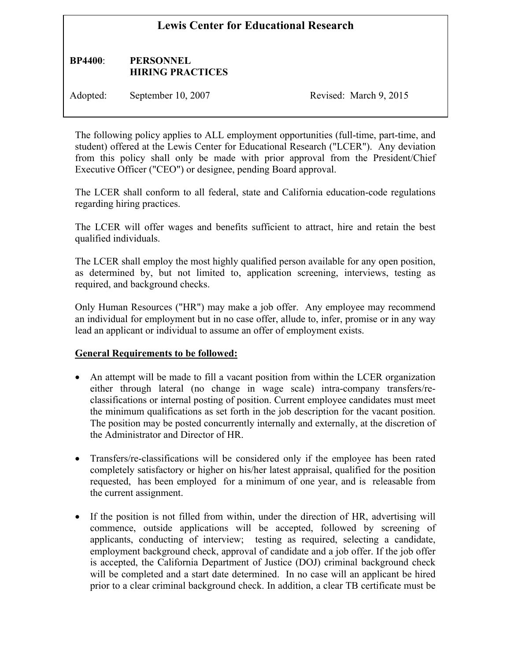# **Lewis Center for Educational Research**

### **BP4400**: **PERSONNEL HIRING PRACTICES**

Adopted: September 10, 2007 Revised: March 9, 2015

The following policy applies to ALL employment opportunities (full-time, part-time, and student) offered at the Lewis Center for Educational Research ("LCER"). Any deviation from this policy shall only be made with prior approval from the President/Chief Executive Officer ("CEO") or designee, pending Board approval.

The LCER shall conform to all federal, state and California education-code regulations regarding hiring practices.

The LCER will offer wages and benefits sufficient to attract, hire and retain the best qualified individuals.

The LCER shall employ the most highly qualified person available for any open position, as determined by, but not limited to, application screening, interviews, testing as required, and background checks.

Only Human Resources ("HR") may make a job offer. Any employee may recommend an individual for employment but in no case offer, allude to, infer, promise or in any way lead an applicant or individual to assume an offer of employment exists.

#### **General Requirements to be followed:**

- An attempt will be made to fill a vacant position from within the LCER organization either through lateral (no change in wage scale) intra-company transfers/reclassifications or internal posting of position. Current employee candidates must meet the minimum qualifications as set forth in the job description for the vacant position. The position may be posted concurrently internally and externally, at the discretion of the Administrator and Director of HR.
- Transfers/re-classifications will be considered only if the employee has been rated completely satisfactory or higher on his/her latest appraisal, qualified for the position requested, has been employed for a minimum of one year, and is releasable from the current assignment.
- If the position is not filled from within, under the direction of HR, advertising will commence, outside applications will be accepted, followed by screening of applicants, conducting of interview; testing as required, selecting a candidate, employment background check, approval of candidate and a job offer. If the job offer is accepted, the California Department of Justice (DOJ) criminal background check will be completed and a start date determined. In no case will an applicant be hired prior to a clear criminal background check. In addition, a clear TB certificate must be